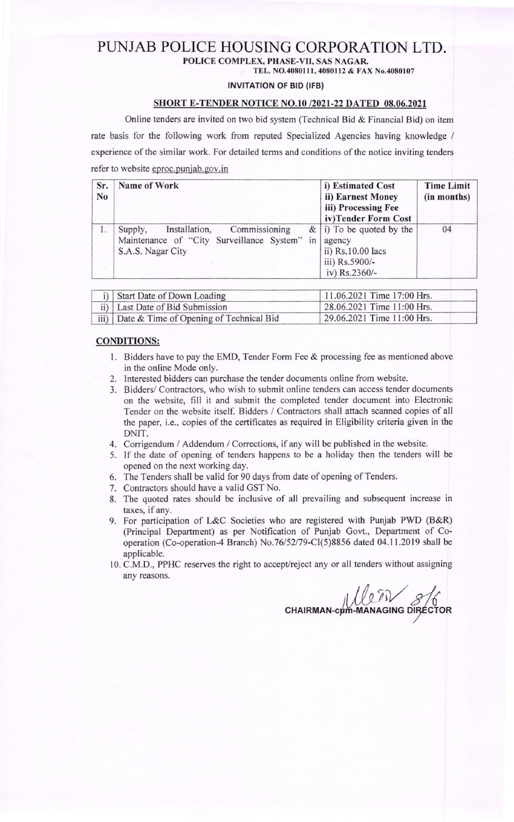### PLINJAB POLICE HOUSING CORPORATION LTD. POLICE COMPLEX, PHASE-VII, SAS NAGAR

TEL. NO.4080111, 4080112 & FAX No.4080107

#### INVITATION OF BID (IFB)

#### SHORT E.TENDER NOTICE NO.l0 /2021-22 DATED 08.06.2021

Online tenders are invited on two bid system (Technical Bid & Financial Bid) on item

rate basis for the following work fiom reputed Specialized Agencies having knowledge /

experience of the similar work. For detailed terms and conditions of the notice inviting tenders

refer to website eproc.punjab.gov.in

| Sr.<br>N <sub>o</sub> | Name of Work                                                                                                |    | i) Estimated Cost<br>ii) Earnest Money<br>iii) Processing Fee<br>iv)Tender Form Cost          | <b>Time Limit</b><br>(in months) |
|-----------------------|-------------------------------------------------------------------------------------------------------------|----|-----------------------------------------------------------------------------------------------|----------------------------------|
|                       | Commissioning<br>Installation,<br>Supply,<br>Maintenance of "City Surveillance System"<br>S.A.S. Nagar City | in | $\&$ i) To be quoted by the<br>agency<br>ii) Rs.10.00 lacs<br>iii) Rs.5900/-<br>iv) Rs.2360/- | 04                               |

| i) Start Date of Down Loading                | 11.06.2021 Time 17:00 Hrs. |  |
|----------------------------------------------|----------------------------|--|
| ii) Last Date of Bid Submission              | 28.06.2021 Time 11:00 Hrs. |  |
| iii) Date & Time of Opening of Technical Bid | 29.06.2021 Time 11:00 Hrs. |  |

#### CONDITIONS:

- 1. Bidders have to pay the EMD, Tender Form Fee & processing fee as mentioned above in the online Mode only.
- 2. Interested bidders can purchase the tender documents online from website.
- 3. Bidders/ Contractors, who wish to submit online tenders can access tender documents on the website, fill it and submit the completed tender document into Electronic Tender on the website itself. Bidders / Contractors shall attach scanned copies of all the paper, i.e., copies of the certificates as required in Eligibility criteria given in the DNIT.
- 4. Corrigendum / Addendum / Corrections, if any will be published in the website.
- 5. If the date of opening of tenders happens to be a holiday then the tenders will be opened on the next working day.
- 6. The Tenders shall be valid for 90 days from date of opening of Tenders.
- 7. Contractors should have a valid GST No.
- 8. The quoted rates should be inclusive of all prevailing and subsequent increase in taxes, if any.
- 9. For participation of L&C Societies who are registered with Punjab PWD (B&R) (Principal Department) as per Notification of Punjab Govt., Department of Cooperation (Co-operation-4 Branch) No.76152l79-C(5)8856 dated 04.1 1.2019 shall be applicable.
- 10. C.M.D., PPHC reserves the right to accept/reject any or all tenders without assigning any reasons.

CHAIRMAN-cum-MAN  $\widetilde{\partial V}$ µm-MANAGING DIRECTOR